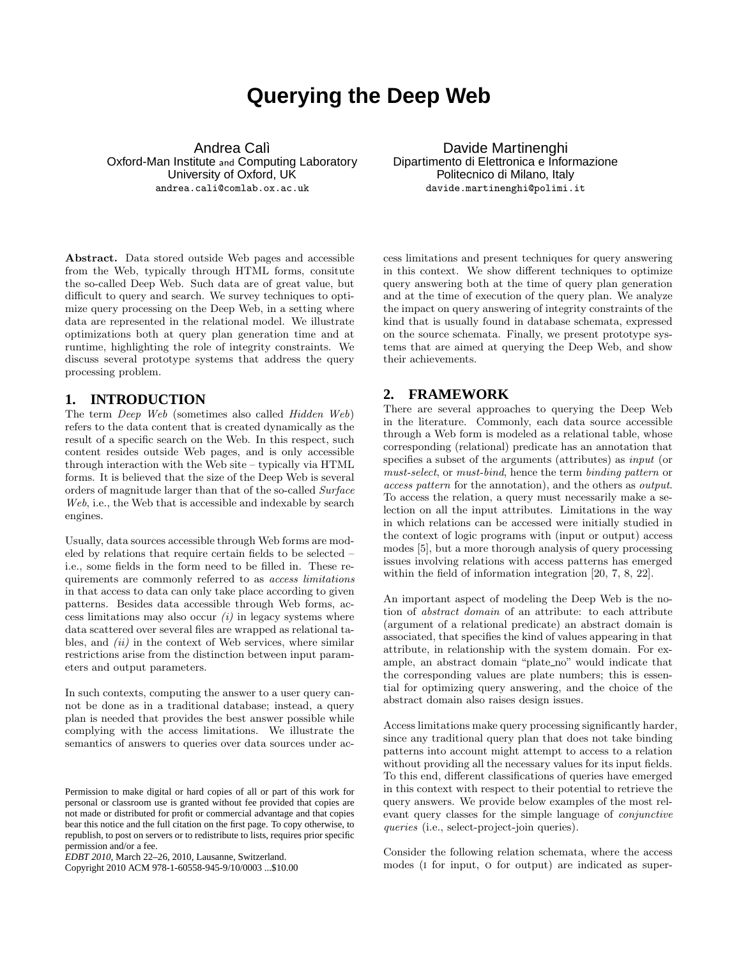# **Querying the Deep Web**

Andrea Calì Oxford-Man Institute and Computing Laboratory University of Oxford, UK andrea.cali@comlab.ox.ac.uk

Davide Martinenghi Dipartimento di Elettronica e Informazione Politecnico di Milano, Italy davide.martinenghi@polimi.it

Abstract. Data stored outside Web pages and accessible from the Web, typically through HTML forms, consitute the so-called Deep Web. Such data are of great value, but difficult to query and search. We survey techniques to optimize query processing on the Deep Web, in a setting where data are represented in the relational model. We illustrate optimizations both at query plan generation time and at runtime, highlighting the role of integrity constraints. We discuss several prototype systems that address the query processing problem.

## **1. INTRODUCTION**

The term Deep Web (sometimes also called Hidden Web) refers to the data content that is created dynamically as the result of a specific search on the Web. In this respect, such content resides outside Web pages, and is only accessible through interaction with the Web site – typically via HTML forms. It is believed that the size of the Deep Web is several orders of magnitude larger than that of the so-called Surface Web, i.e., the Web that is accessible and indexable by search engines.

Usually, data sources accessible through Web forms are modeled by relations that require certain fields to be selected – i.e., some fields in the form need to be filled in. These requirements are commonly referred to as access limitations in that access to data can only take place according to given patterns. Besides data accessible through Web forms, access limitations may also occur  $(i)$  in legacy systems where data scattered over several files are wrapped as relational tables, and  $(ii)$  in the context of Web services, where similar restrictions arise from the distinction between input parameters and output parameters.

In such contexts, computing the answer to a user query cannot be done as in a traditional database; instead, a query plan is needed that provides the best answer possible while complying with the access limitations. We illustrate the semantics of answers to queries over data sources under ac-

Copyright 2010 ACM 978-1-60558-945-9/10/0003 ...\$10.00

cess limitations and present techniques for query answering in this context. We show different techniques to optimize query answering both at the time of query plan generation and at the time of execution of the query plan. We analyze the impact on query answering of integrity constraints of the kind that is usually found in database schemata, expressed on the source schemata. Finally, we present prototype systems that are aimed at querying the Deep Web, and show their achievements.

## **2. FRAMEWORK**

There are several approaches to querying the Deep Web in the literature. Commonly, each data source accessible through a Web form is modeled as a relational table, whose corresponding (relational) predicate has an annotation that specifies a subset of the arguments (attributes) as input (or must-select, or must-bind, hence the term binding pattern or access pattern for the annotation), and the others as output. To access the relation, a query must necessarily make a selection on all the input attributes. Limitations in the way in which relations can be accessed were initially studied in the context of logic programs with (input or output) access modes [5], but a more thorough analysis of query processing issues involving relations with access patterns has emerged within the field of information integration [20, 7, 8, 22].

An important aspect of modeling the Deep Web is the notion of abstract domain of an attribute: to each attribute (argument of a relational predicate) an abstract domain is associated, that specifies the kind of values appearing in that attribute, in relationship with the system domain. For example, an abstract domain "plate\_no" would indicate that the corresponding values are plate numbers; this is essential for optimizing query answering, and the choice of the abstract domain also raises design issues.

Access limitations make query processing significantly harder, since any traditional query plan that does not take binding patterns into account might attempt to access to a relation without providing all the necessary values for its input fields. To this end, different classifications of queries have emerged in this context with respect to their potential to retrieve the query answers. We provide below examples of the most relevant query classes for the simple language of conjunctive queries (i.e., select-project-join queries).

Consider the following relation schemata, where the access modes (i for input, o for output) are indicated as super-

Permission to make digital or hard copies of all or part of this work for personal or classroom use is granted without fee provided that copies are not made or distributed for profit or commercial advantage and that copies bear this notice and the full citation on the first page. To copy otherwise, to republish, to post on servers or to redistribute to lists, requires prior specific permission and/or a fee.

*EDBT 2010*, March 22–26, 2010, Lausanne, Switzerland.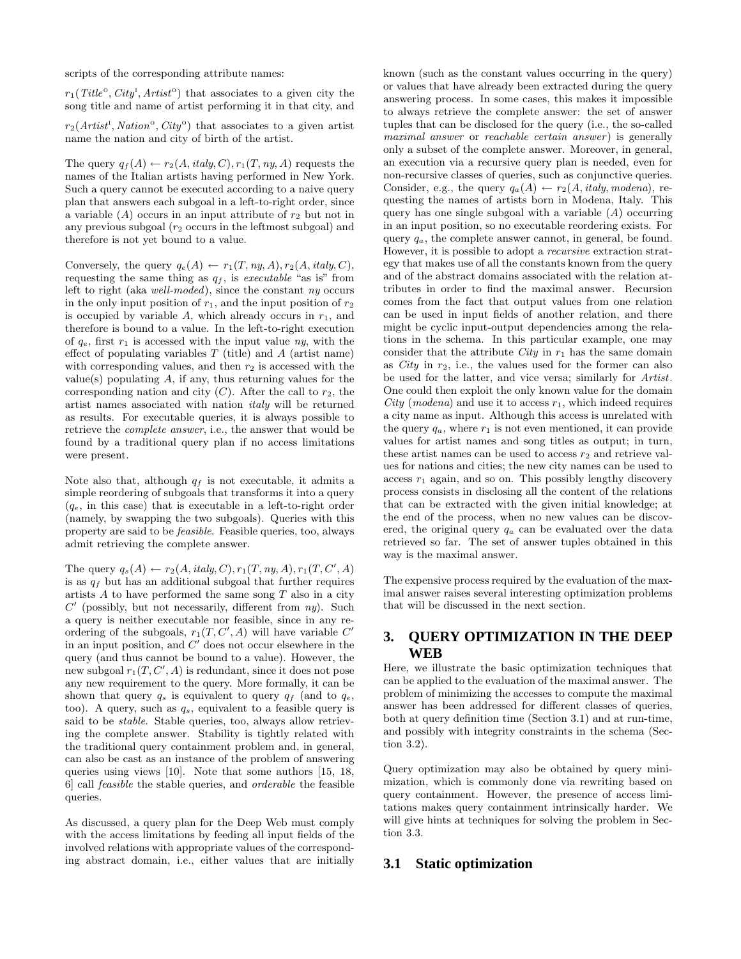scripts of the corresponding attribute names:

 $r_1(Title^{\circ}, City^{\rm I}, Artist^{\rm o})$  that associates to a given city the song title and name of artist performing it in that city, and

 $r_2(Artist^{\text{t}}, Nation^{\text{o}}, City^{\text{o}})$  that associates to a given artist name the nation and city of birth of the artist.

The query  $q_f(A) \leftarrow r_2(A, \text{italy}, C), r_1(T, ny, A)$  requests the names of the Italian artists having performed in New York. Such a query cannot be executed according to a naive query plan that answers each subgoal in a left-to-right order, since a variable  $(A)$  occurs in an input attribute of  $r_2$  but not in any previous subgoal  $(r_2 \text{ occurs in the leftmost subgoal})$  and therefore is not yet bound to a value.

Conversely, the query  $q_e(A) \leftarrow r_1(T, ny, A), r_2(A, italy, C),$ requesting the same thing as  $q_f$ , is executable "as is" from left to right (aka well-moded), since the constant ny occurs in the only input position of  $r_1$ , and the input position of  $r_2$ is occupied by variable  $A$ , which already occurs in  $r_1$ , and therefore is bound to a value. In the left-to-right execution of  $q_e$ , first  $r_1$  is accessed with the input value  $ny$ , with the effect of populating variables  $T$  (title) and  $A$  (artist name) with corresponding values, and then  $r_2$  is accessed with the value(s) populating  $A$ , if any, thus returning values for the corresponding nation and city  $(C)$ . After the call to  $r_2$ , the artist names associated with nation italy will be returned as results. For executable queries, it is always possible to retrieve the complete answer, i.e., the answer that would be found by a traditional query plan if no access limitations were present.

Note also that, although  $q_f$  is not executable, it admits a simple reordering of subgoals that transforms it into a query  $(q_e, \text{ in this case})$  that is executable in a left-to-right order (namely, by swapping the two subgoals). Queries with this property are said to be feasible. Feasible queries, too, always admit retrieving the complete answer.

The query  $q_s(A) \leftarrow r_2(A, \text{italy}, C), r_1(T, \text{ny}, A), r_1(T, C', A)$ is as  $q_f$  but has an additional subgoal that further requires artists  $A$  to have performed the same song  $T$  also in a city  $C'$  (possibly, but not necessarily, different from  $ny$ ). Such a query is neither executable nor feasible, since in any reordering of the subgoals,  $r_1(T, C', A)$  will have variable  $C'$ in an input position, and  $C'$  does not occur elsewhere in the query (and thus cannot be bound to a value). However, the new subgoal  $r_1(T, C', A)$  is redundant, since it does not pose any new requirement to the query. More formally, it can be shown that query  $q_s$  is equivalent to query  $q_f$  (and to  $q_e$ , too). A query, such as  $q_s$ , equivalent to a feasible query is said to be *stable*. Stable queries, too, always allow retrieving the complete answer. Stability is tightly related with the traditional query containment problem and, in general, can also be cast as an instance of the problem of answering queries using views [10]. Note that some authors [15, 18, 6] call feasible the stable queries, and orderable the feasible queries.

As discussed, a query plan for the Deep Web must comply with the access limitations by feeding all input fields of the involved relations with appropriate values of the corresponding abstract domain, i.e., either values that are initially

known (such as the constant values occurring in the query) or values that have already been extracted during the query answering process. In some cases, this makes it impossible to always retrieve the complete answer: the set of answer tuples that can be disclosed for the query (i.e., the so-called maximal answer or reachable certain answer) is generally only a subset of the complete answer. Moreover, in general, an execution via a recursive query plan is needed, even for non-recursive classes of queries, such as conjunctive queries. Consider, e.g., the query  $q_a(A) \leftarrow r_2(A, italy, modena)$ , requesting the names of artists born in Modena, Italy. This query has one single subgoal with a variable  $(A)$  occurring in an input position, so no executable reordering exists. For query  $q_a$ , the complete answer cannot, in general, be found. However, it is possible to adopt a recursive extraction strategy that makes use of all the constants known from the query and of the abstract domains associated with the relation attributes in order to find the maximal answer. Recursion comes from the fact that output values from one relation can be used in input fields of another relation, and there might be cyclic input-output dependencies among the relations in the schema. In this particular example, one may consider that the attribute  $City$  in  $r_1$  has the same domain as  $City$  in  $r_2$ , i.e., the values used for the former can also be used for the latter, and vice versa; similarly for Artist. One could then exploit the only known value for the domain City (modena) and use it to access  $r_1$ , which indeed requires a city name as input. Although this access is unrelated with the query  $q_a$ , where  $r_1$  is not even mentioned, it can provide values for artist names and song titles as output; in turn, these artist names can be used to access  $r_2$  and retrieve values for nations and cities; the new city names can be used to access  $r_1$  again, and so on. This possibly lengthy discovery process consists in disclosing all the content of the relations that can be extracted with the given initial knowledge; at the end of the process, when no new values can be discovered, the original query  $q_a$  can be evaluated over the data retrieved so far. The set of answer tuples obtained in this way is the maximal answer.

The expensive process required by the evaluation of the maximal answer raises several interesting optimization problems that will be discussed in the next section.

## **3. QUERY OPTIMIZATION IN THE DEEP WEB**

Here, we illustrate the basic optimization techniques that can be applied to the evaluation of the maximal answer. The problem of minimizing the accesses to compute the maximal answer has been addressed for different classes of queries, both at query definition time (Section 3.1) and at run-time, and possibly with integrity constraints in the schema (Section 3.2).

Query optimization may also be obtained by query minimization, which is commonly done via rewriting based on query containment. However, the presence of access limitations makes query containment intrinsically harder. We will give hints at techniques for solving the problem in Section 3.3.

#### **3.1 Static optimization**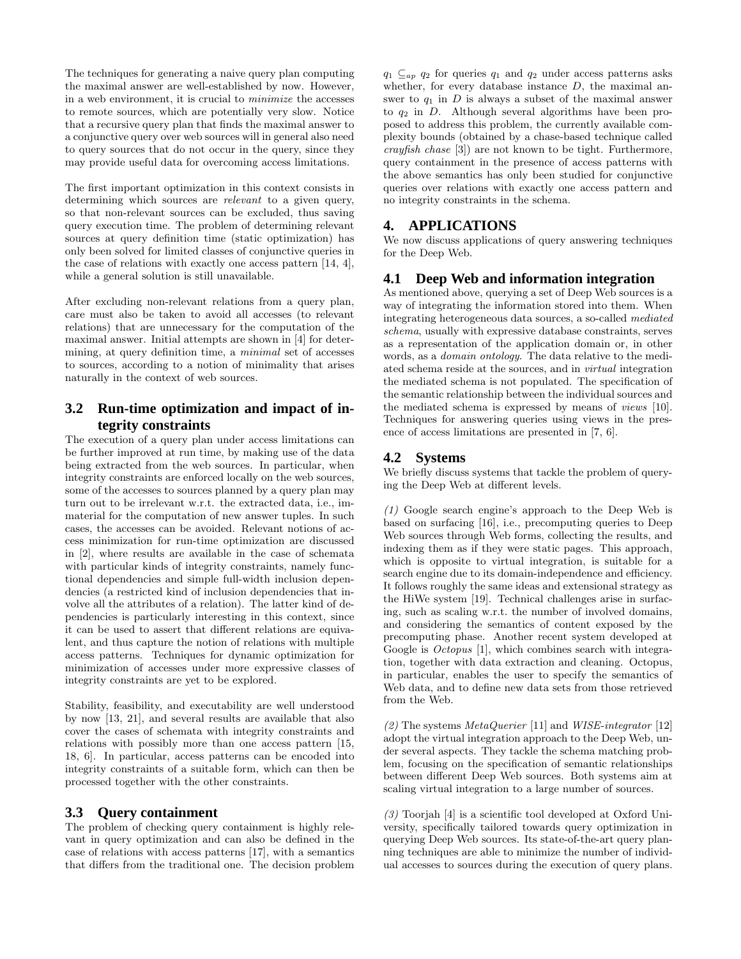The techniques for generating a naive query plan computing the maximal answer are well-established by now. However, in a web environment, it is crucial to minimize the accesses to remote sources, which are potentially very slow. Notice that a recursive query plan that finds the maximal answer to a conjunctive query over web sources will in general also need to query sources that do not occur in the query, since they may provide useful data for overcoming access limitations.

The first important optimization in this context consists in determining which sources are *relevant* to a given query, so that non-relevant sources can be excluded, thus saving query execution time. The problem of determining relevant sources at query definition time (static optimization) has only been solved for limited classes of conjunctive queries in the case of relations with exactly one access pattern [14, 4], while a general solution is still unavailable.

After excluding non-relevant relations from a query plan, care must also be taken to avoid all accesses (to relevant relations) that are unnecessary for the computation of the maximal answer. Initial attempts are shown in [4] for determining, at query definition time, a minimal set of accesses to sources, according to a notion of minimality that arises naturally in the context of web sources.

# **3.2 Run-time optimization and impact of integrity constraints**

The execution of a query plan under access limitations can be further improved at run time, by making use of the data being extracted from the web sources. In particular, when integrity constraints are enforced locally on the web sources, some of the accesses to sources planned by a query plan may turn out to be irrelevant w.r.t. the extracted data, i.e., immaterial for the computation of new answer tuples. In such cases, the accesses can be avoided. Relevant notions of access minimization for run-time optimization are discussed in [2], where results are available in the case of schemata with particular kinds of integrity constraints, namely functional dependencies and simple full-width inclusion dependencies (a restricted kind of inclusion dependencies that involve all the attributes of a relation). The latter kind of dependencies is particularly interesting in this context, since it can be used to assert that different relations are equivalent, and thus capture the notion of relations with multiple access patterns. Techniques for dynamic optimization for minimization of accesses under more expressive classes of integrity constraints are yet to be explored.

Stability, feasibility, and executability are well understood by now [13, 21], and several results are available that also cover the cases of schemata with integrity constraints and relations with possibly more than one access pattern [15, 18, 6]. In particular, access patterns can be encoded into integrity constraints of a suitable form, which can then be processed together with the other constraints.

## **3.3 Query containment**

The problem of checking query containment is highly relevant in query optimization and can also be defined in the case of relations with access patterns [17], with a semantics that differs from the traditional one. The decision problem

 $q_1 \nsubseteq_{ap} q_2$  for queries  $q_1$  and  $q_2$  under access patterns asks whether, for every database instance  $D$ , the maximal answer to  $q_1$  in D is always a subset of the maximal answer to  $q_2$  in D. Although several algorithms have been proposed to address this problem, the currently available complexity bounds (obtained by a chase-based technique called crayfish chase [3]) are not known to be tight. Furthermore, query containment in the presence of access patterns with the above semantics has only been studied for conjunctive queries over relations with exactly one access pattern and no integrity constraints in the schema.

#### **4. APPLICATIONS**

We now discuss applications of query answering techniques for the Deep Web.

## **4.1 Deep Web and information integration**

As mentioned above, querying a set of Deep Web sources is a way of integrating the information stored into them. When integrating heterogeneous data sources, a so-called mediated schema, usually with expressive database constraints, serves as a representation of the application domain or, in other words, as a domain ontology. The data relative to the mediated schema reside at the sources, and in virtual integration the mediated schema is not populated. The specification of the semantic relationship between the individual sources and the mediated schema is expressed by means of views [10]. Techniques for answering queries using views in the presence of access limitations are presented in [7, 6].

#### **4.2 Systems**

We briefly discuss systems that tackle the problem of querying the Deep Web at different levels.

(1) Google search engine's approach to the Deep Web is based on surfacing [16], i.e., precomputing queries to Deep Web sources through Web forms, collecting the results, and indexing them as if they were static pages. This approach, which is opposite to virtual integration, is suitable for a search engine due to its domain-independence and efficiency. It follows roughly the same ideas and extensional strategy as the HiWe system [19]. Technical challenges arise in surfacing, such as scaling w.r.t. the number of involved domains, and considering the semantics of content exposed by the precomputing phase. Another recent system developed at Google is *Octopus* [1], which combines search with integration, together with data extraction and cleaning. Octopus, in particular, enables the user to specify the semantics of Web data, and to define new data sets from those retrieved from the Web.

(2) The systems  $MetaQuerier$  [11] and *WISE-integrator* [12] adopt the virtual integration approach to the Deep Web, under several aspects. They tackle the schema matching problem, focusing on the specification of semantic relationships between different Deep Web sources. Both systems aim at scaling virtual integration to a large number of sources.

(3) Toorjah [4] is a scientific tool developed at Oxford University, specifically tailored towards query optimization in querying Deep Web sources. Its state-of-the-art query planning techniques are able to minimize the number of individual accesses to sources during the execution of query plans.